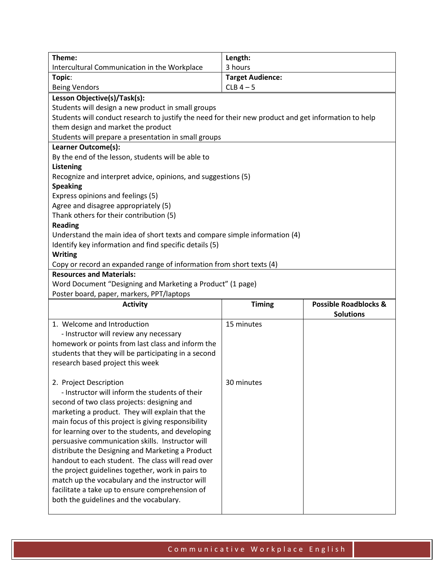| Theme:                                                                                               | Length:                 |                                  |  |
|------------------------------------------------------------------------------------------------------|-------------------------|----------------------------------|--|
| Intercultural Communication in the Workplace                                                         | 3 hours                 |                                  |  |
| Topic:                                                                                               | <b>Target Audience:</b> |                                  |  |
| <b>Being Vendors</b>                                                                                 | $CLB$ 4 - 5             |                                  |  |
| Lesson Objective(s)/Task(s):                                                                         |                         |                                  |  |
| Students will design a new product in small groups                                                   |                         |                                  |  |
| Students will conduct research to justify the need for their new product and get information to help |                         |                                  |  |
| them design and market the product                                                                   |                         |                                  |  |
| Students will prepare a presentation in small groups                                                 |                         |                                  |  |
| Learner Outcome(s):                                                                                  |                         |                                  |  |
| By the end of the lesson, students will be able to                                                   |                         |                                  |  |
| <b>Listening</b>                                                                                     |                         |                                  |  |
| Recognize and interpret advice, opinions, and suggestions (5)                                        |                         |                                  |  |
| <b>Speaking</b>                                                                                      |                         |                                  |  |
| Express opinions and feelings (5)                                                                    |                         |                                  |  |
| Agree and disagree appropriately (5)                                                                 |                         |                                  |  |
| Thank others for their contribution (5)                                                              |                         |                                  |  |
| <b>Reading</b>                                                                                       |                         |                                  |  |
| Understand the main idea of short texts and compare simple information (4)                           |                         |                                  |  |
| Identify key information and find specific details (5)                                               |                         |                                  |  |
| <b>Writing</b>                                                                                       |                         |                                  |  |
| Copy or record an expanded range of information from short texts (4)                                 |                         |                                  |  |
| <b>Resources and Materials:</b>                                                                      |                         |                                  |  |
| Word Document "Designing and Marketing a Product" (1 page)                                           |                         |                                  |  |
| Poster board, paper, markers, PPT/laptops                                                            |                         |                                  |  |
| <b>Activity</b>                                                                                      | <b>Timing</b>           | <b>Possible Roadblocks &amp;</b> |  |
|                                                                                                      |                         | <b>Solutions</b>                 |  |
| 1. Welcome and Introduction                                                                          | 15 minutes              |                                  |  |
| - Instructor will review any necessary                                                               |                         |                                  |  |
| homework or points from last class and inform the                                                    |                         |                                  |  |
| students that they will be participating in a second                                                 |                         |                                  |  |
| research based project this week                                                                     |                         |                                  |  |
| 2. Project Description                                                                               | 30 minutes              |                                  |  |
| - Instructor will inform the students of their                                                       |                         |                                  |  |
| second of two class projects: designing and                                                          |                         |                                  |  |
| marketing a product. They will explain that the                                                      |                         |                                  |  |
| main focus of this project is giving responsibility                                                  |                         |                                  |  |
| for learning over to the students, and developing                                                    |                         |                                  |  |
| persuasive communication skills. Instructor will                                                     |                         |                                  |  |
| distribute the Designing and Marketing a Product                                                     |                         |                                  |  |
| handout to each student. The class will read over                                                    |                         |                                  |  |

the project guidelines together, work in pairs to match up the vocabulary and the instructor will facilitate a take up to ensure comprehension of

both the guidelines and the vocabulary.